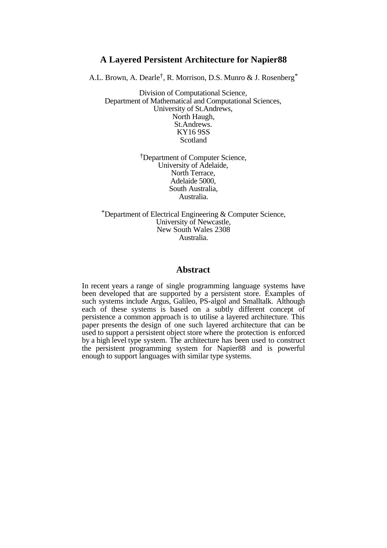### **A Layered Persistent Architecture for Napier88**

A.L. Brown, A. Dearle†, R. Morrison, D.S. Munro & J. Rosenberg\*

Division of Computational Science, Department of Mathematical and Computational Sciences, University of St.Andrews, North Haugh, St.Andrews. KY16 9SS Scotland

> †Department of Computer Science, University of Adelaide, North Terrace, Adelaide 5000, South Australia, Australia.

\*Department of Electrical Engineering & Computer Science, University of Newcastle, New South Wales 2308 Australia.

## **Abstract**

In recent years a range of single programming language systems have been developed that are supported by a persistent store. Examples of such systems include Argus, Galileo, PS-algol and Smalltalk. Although each of these systems is based on a subtly different concept of persistence a common approach is to utilise a layered architecture. This paper presents the design of one such layered architecture that can be used to support a persistent object store where the protection is enforced by a high level type system. The architecture has been used to construct the persistent programming system for Napier88 and is powerful enough to support languages with similar type systems.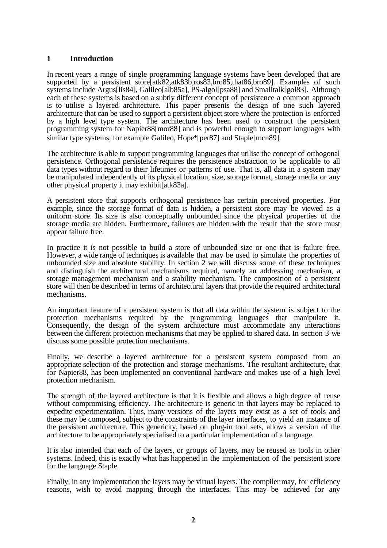### **1 Introduction**

In recent years a range of single programming language systems have been developed that are supported by a persistent store[atk82,atk83b,ros83,bro85,that86,bro89]. Examples of such systems include Argus[lis84], Galileo[alb85a], PS-algol[psa88] and Smalltalk[gol83]. Although each of these systems is based on a subtly different concept of persistence a common approach is to utilise a layered architecture. This paper presents the design of one such layered architecture that can be used to support a persistent object store where the protection is enforced by a high level type system. The architecture has been used to construct the persistent programming system for Napier88[mor88] and is powerful enough to support languages with similar type systems, for example Galileo, Hope+[per87] and Staple[mcn89].

The architecture is able to support programming languages that utilise the concept of orthogonal persistence. Orthogonal persistence requires the persistence abstraction to be applicable to all data types without regard to their lifetimes or patterns of use. That is, all data in a system may be manipulated independently of its physical location, size, storage format, storage media or any other physical property it may exhibit[atk83a].

A persistent store that supports orthogonal persistence has certain perceived properties. For example, since the storage format of data is hidden, a persistent store may be viewed as a uniform store. Its size is also conceptually unbounded since the physical properties of the storage media are hidden. Furthermore, failures are hidden with the result that the store must appear failure free.

In practice it is not possible to build a store of unbounded size or one that is failure free. However, a wide range of techniques is available that may be used to simulate the properties of unbounded size and absolute stability. In section 2 we will discuss some of these techniques and distinguish the architectural mechanisms required, namely an addressing mechanism, a storage management mechanism and a stability mechanism. The composition of a persistent store will then be described in terms of architectural layers that provide the required architectural mechanisms.

An important feature of a persistent system is that all data within the system is subject to the protection mechanisms required by the programming languages that manipulate it. Consequently, the design of the system architecture must accommodate any interactions between the different protection mechanisms that may be applied to shared data. In section 3 we discuss some possible protection mechanisms.

Finally, we describe a layered architecture for a persistent system composed from an appropriate selection of the protection and storage mechanisms. The resultant architecture, that for Napier88, has been implemented on conventional hardware and makes use of a high level protection mechanism.

The strength of the layered architecture is that it is flexible and allows a high degree of reuse without compromising efficiency. The architecture is generic in that layers may be replaced to expedite experimentation. Thus, many versions of the layers may exist as a set of tools and these may be composed, subject to the constraints of the layer interfaces, to yield an instance of the persistent architecture. This genericity, based on plug-in tool sets, allows a version of the architecture to be appropriately specialised to a particular implementation of a language.

It is also intended that each of the layers, or groups of layers, may be reused as tools in other systems. Indeed, this is exactly what has happened in the implementation of the persistent store for the language Staple.

Finally, in any implementation the layers may be virtual layers. The compiler may, for efficiency reasons, wish to avoid mapping through the interfaces. This may be achieved for any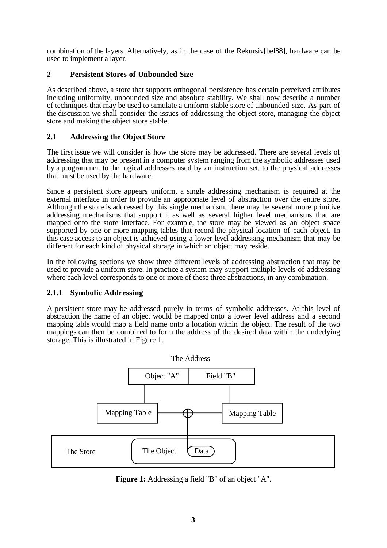combination of the layers. Alternatively, as in the case of the Rekursiv[bel88], hardware can be used to implement a layer.

# **2 Persistent Stores of Unbounded Size**

As described above, a store that supports orthogonal persistence has certain perceived attributes including uniformity, unbounded size and absolute stability. We shall now describe a number of techniques that may be used to simulate a uniform stable store of unbounded size. As part of the discussion we shall consider the issues of addressing the object store, managing the object store and making the object store stable.

## **2.1 Addressing the Object Store**

The first issue we will consider is how the store may be addressed. There are several levels of addressing that may be present in a computer system ranging from the symbolic addresses used by a programmer, to the logical addresses used by an instruction set, to the physical addresses that must be used by the hardware.

Since a persistent store appears uniform, a single addressing mechanism is required at the external interface in order to provide an appropriate level of abstraction over the entire store. Although the store is addressed by this single mechanism, there may be several more primitive addressing mechanisms that support it as well as several higher level mechanisms that are mapped onto the store interface. For example, the store may be viewed as an object space supported by one or more mapping tables that record the physical location of each object. In this case access to an object is achieved using a lower level addressing mechanism that may be different for each kind of physical storage in which an object may reside.

In the following sections we show three different levels of addressing abstraction that may be used to provide a uniform store. In practice a system may support multiple levels of addressing where each level corresponds to one or more of these three abstractions, in any combination.

### **2.1.1 Symbolic Addressing**

A persistent store may be addressed purely in terms of symbolic addresses. At this level of abstraction the name of an object would be mapped onto a lower level address and a second mapping table would map a field name onto a location within the object. The result of the two mappings can then be combined to form the address of the desired data within the underlying storage. This is illustrated in Figure 1.



**Figure 1:** Addressing a field "B" of an object "A".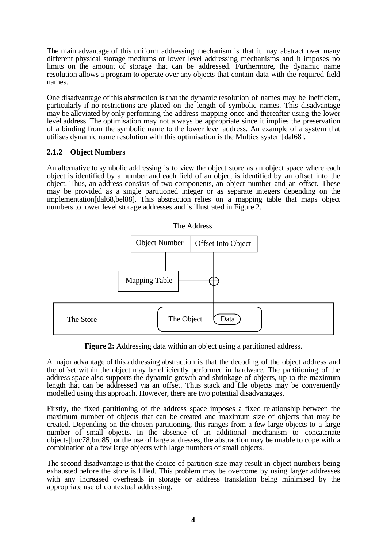The main advantage of this uniform addressing mechanism is that it may abstract over many different physical storage mediums or lower level addressing mechanisms and it imposes no limits on the amount of storage that can be addressed. Furthermore, the dynamic name resolution allows a program to operate over any objects that contain data with the required field names.

One disadvantage of this abstraction is that the dynamic resolution of names may be inefficient, particularly if no restrictions are placed on the length of symbolic names. This disadvantage may be alleviated by only performing the address mapping once and thereafter using the lower level address. The optimisation may not always be appropriate since it implies the preservation of a binding from the symbolic name to the lower level address. An example of a system that utilises dynamic name resolution with this optimisation is the Multics system[dal68].

# **2.1.2 Object Numbers**

An alternative to symbolic addressing is to view the object store as an object space where each object is identified by a number and each field of an object is identified by an offset into the object. Thus, an address consists of two components, an object number and an offset. These may be provided as a single partitioned integer or as separate integers depending on the implementation[dal68,bel88]. This abstraction relies on a mapping table that maps object numbers to lower level storage addresses and is illustrated in Figure 2.



**Figure 2:** Addressing data within an object using a partitioned address.

A major advantage of this addressing abstraction is that the decoding of the object address and the offset within the object may be efficiently performed in hardware. The partitioning of the address space also supports the dynamic growth and shrinkage of objects, up to the maximum length that can be addressed via an offset. Thus stack and file objects may be conveniently modelled using this approach. However, there are two potential disadvantages.

Firstly, the fixed partitioning of the address space imposes a fixed relationship between the maximum number of objects that can be created and maximum size of objects that may be created. Depending on the chosen partitioning, this ranges from a few large objects to a large number of small objects. In the absence of an additional mechanism to concatenate objects[buc78,bro85] or the use of large addresses, the abstraction may be unable to cope with a combination of a few large objects with large numbers of small objects.

The second disadvantage is that the choice of partition size may result in object numbers being exhausted before the store is filled. This problem may be overcome by using larger addresses with any increased overheads in storage or address translation being minimised by the appropriate use of contextual addressing.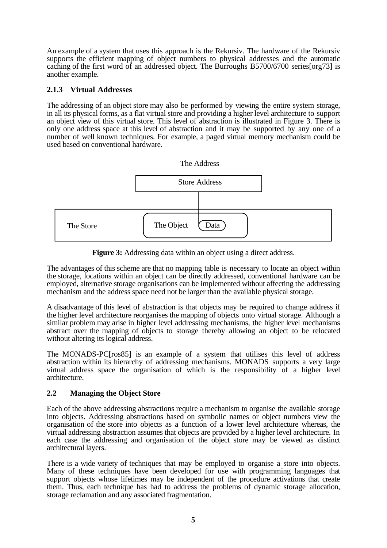An example of a system that uses this approach is the Rekursiv. The hardware of the Rekursiv supports the efficient mapping of object numbers to physical addresses and the automatic caching of the first word of an addressed object. The Burroughs B5700/6700 series[org73] is another example.

## **2.1.3 Virtual Addresses**

The addressing of an object store may also be performed by viewing the entire system storage, in all its physical forms, as a flat virtual store and providing a higher level architecture to support an object view of this virtual store. This level of abstraction is illustrated in Figure 3. There is only one address space at this level of abstraction and it may be supported by any one of a number of well known techniques. For example, a paged virtual memory mechanism could be used based on conventional hardware.



**Figure 3:** Addressing data within an object using a direct address.

The advantages of this scheme are that no mapping table is necessary to locate an object within the storage, locations within an object can be directly addressed, conventional hardware can be employed, alternative storage organisations can be implemented without affecting the addressing mechanism and the address space need not be larger than the available physical storage.

A disadvantage of this level of abstraction is that objects may be required to change address if the higher level architecture reorganises the mapping of objects onto virtual storage. Although a similar problem may arise in higher level addressing mechanisms, the higher level mechanisms abstract over the mapping of objects to storage thereby allowing an object to be relocated without altering its logical address.

The MONADS-PC[ros85] is an example of a system that utilises this level of address abstraction within its hierarchy of addressing mechanisms. MONADS supports a very large virtual address space the organisation of which is the responsibility of a higher level architecture.

# **2.2 Managing the Object Store**

Each of the above addressing abstractions require a mechanism to organise the available storage into objects. Addressing abstractions based on symbolic names or object numbers view the organisation of the store into objects as a function of a lower level architecture whereas, the virtual addressing abstraction assumes that objects are provided by a higher level architecture. In each case the addressing and organisation of the object store may be viewed as distinct architectural layers.

There is a wide variety of techniques that may be employed to organise a store into objects. Many of these techniques have been developed for use with programming languages that support objects whose lifetimes may be independent of the procedure activations that create them. Thus, each technique has had to address the problems of dynamic storage allocation, storage reclamation and any associated fragmentation.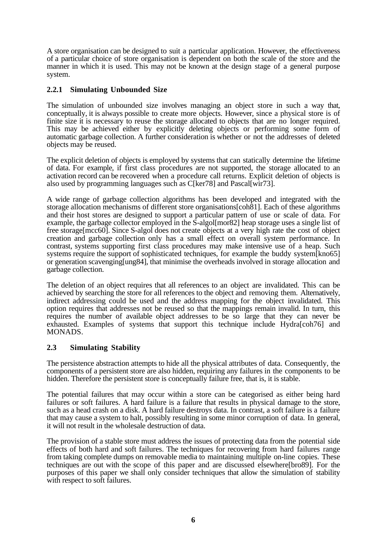A store organisation can be designed to suit a particular application. However, the effectiveness of a particular choice of store organisation is dependent on both the scale of the store and the manner in which it is used. This may not be known at the design stage of a general purpose system.

## **2.2.1 Simulating Unbounded Size**

The simulation of unbounded size involves managing an object store in such a way that, conceptually, it is always possible to create more objects. However, since a physical store is of finite size it is necessary to reuse the storage allocated to objects that are no longer required. This may be achieved either by explicitly deleting objects or performing some form of automatic garbage collection. A further consideration is whether or not the addresses of deleted objects may be reused.

The explicit deletion of objects is employed by systems that can statically determine the lifetime of data. For example, if first class procedures are not supported, the storage allocated to an activation record can be recovered when a procedure call returns. Explicit deletion of objects is also used by programming languages such as C[ker78] and Pascal[wir73].

A wide range of garbage collection algorithms has been developed and integrated with the storage allocation mechanisms of different store organisations[coh81]. Each of these algorithms and their host stores are designed to support a particular pattern of use or scale of data. For example, the garbage collector employed in the S-algol[mor82] heap storage uses a single list of free storage[mcc60]. Since S-algol does not create objects at a very high rate the cost of object creation and garbage collection only has a small effect on overall system performance. In contrast, systems supporting first class procedures may make intensive use of a heap. Such systems require the support of sophisticated techniques, for example the buddy system[kno65] or generation scavenging[ung84], that minimise the overheads involved in storage allocation and garbage collection.

The deletion of an object requires that all references to an object are invalidated. This can be achieved by searching the store for all references to the object and removing them. Alternatively, indirect addressing could be used and the address mapping for the object invalidated. This option requires that addresses not be reused so that the mappings remain invalid. In turn, this requires the number of available object addresses to be so large that they can never be exhausted. Examples of systems that support this technique include Hydra[coh76] and MONADS.

# **2.3 Simulating Stability**

The persistence abstraction attempts to hide all the physical attributes of data. Consequently, the components of a persistent store are also hidden, requiring any failures in the components to be hidden. Therefore the persistent store is conceptually failure free, that is, it is stable.

The potential failures that may occur within a store can be categorised as either being hard failures or soft failures. A hard failure is a failure that results in physical damage to the store, such as a head crash on a disk. A hard failure destroys data. In contrast, a soft failure is a failure that may cause a system to halt, possibly resulting in some minor corruption of data. In general, it will not result in the wholesale destruction of data.

The provision of a stable store must address the issues of protecting data from the potential side effects of both hard and soft failures. The techniques for recovering from hard failures range from taking complete dumps on removable media to maintaining multiple on-line copies. These techniques are out with the scope of this paper and are discussed elsewhere[bro89]. For the purposes of this paper we shall only consider techniques that allow the simulation of stability with respect to soft failures.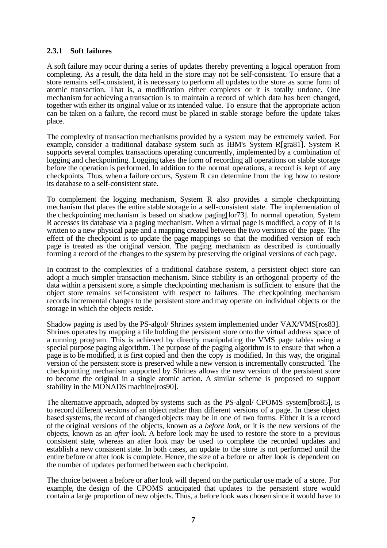## **2.3.1 Soft failures**

A soft failure may occur during a series of updates thereby preventing a logical operation from completing. As a result, the data held in the store may not be self-consistent. To ensure that a store remains self-consistent, it is necessary to perform all updates to the store as some form of atomic transaction. That is, a modification either completes or it is totally undone. One mechanism for achieving a transaction is to maintain a record of which data has been changed, together with either its original value or its intended value. To ensure that the appropriate action can be taken on a failure, the record must be placed in stable storage before the update takes place.

The complexity of transaction mechanisms provided by a system may be extremely varied. For example, consider a traditional database system such as IBM's System R[gra81]. System R supports several complex transactions operating concurrently, implemented by a combination of logging and checkpointing. Logging takes the form of recording all operations on stable storage before the operation is performed. In addition to the normal operations, a record is kept of any checkpoints. Thus, when a failure occurs, System R can determine from the log how to restore its database to a self-consistent state.

To complement the logging mechanism, System R also provides a simple checkpointing mechanism that places the entire stable storage in a self-consistent state. The implementation of the checkpointing mechanism is based on shadow paging[lor73]. In normal operation, System R accesses its database via a paging mechanism. When a virtual page is modified, a copy of it is written to a new physical page and a mapping created between the two versions of the page. The effect of the checkpoint is to update the page mappings so that the modified version of each page is treated as the original version. The paging mechanism as described is continually forming a record of the changes to the system by preserving the original versions of each page.

In contrast to the complexities of a traditional database system, a persistent object store can adopt a much simpler transaction mechanism. Since stability is an orthogonal property of the data within a persistent store, a simple checkpointing mechanism is sufficient to ensure that the object store remains self-consistent with respect to failures. The checkpointing mechanism records incremental changes to the persistent store and may operate on individual objects or the storage in which the objects reside.

Shadow paging is used by the PS-algol/ Shrines system implemented under VAX/VMS[ros83]. Shrines operates by mapping a file holding the persistent store onto the virtual address space of a running program. This is achieved by directly manipulating the VMS page tables using a special purpose paging algorithm. The purpose of the paging algorithm is to ensure that when a page is to be modified, it is first copied and then the copy is modified. In this way, the original version of the persistent store is preserved while a new version is incrementally constructed. The checkpointing mechanism supported by Shrines allows the new version of the persistent store to become the original in a single atomic action. A similar scheme is proposed to support stability in the MONADS machine[ros90].

The alternative approach, adopted by systems such as the PS-algol/ CPOMS system[bro85], is to record different versions of an object rather than different versions of a page. In these object based systems, the record of changed objects may be in one of two forms. Either it is a record of the original versions of the objects, known as a *before look*, or it is the new versions of the objects, known as an *after look*. A before look may be used to restore the store to a previous consistent state, whereas an after look may be used to complete the recorded updates and establish a new consistent state. In both cases, an update to the store is not performed until the entire before or after look is complete. Hence, the size of a before or after look is dependent on the number of updates performed between each checkpoint.

The choice between a before or after look will depend on the particular use made of a store. For example, the design of the CPOMS anticipated that updates to the persistent store would contain a large proportion of new objects. Thus, a before look was chosen since it would have to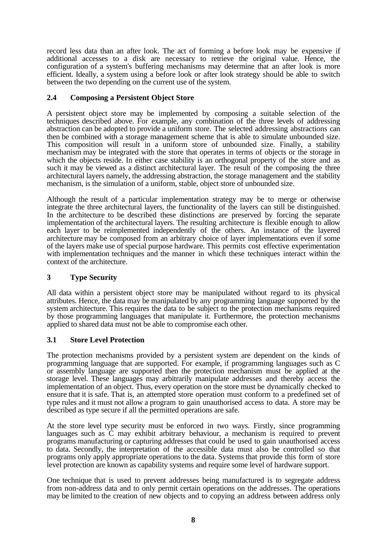record less data than an after look. The act of forming a before look may be expensive if additional accesses to a disk are necessary to retrieve the original value. Hence, the configuration of a system's buffering mechanisms may determine that an after look is more efficient. Ideally, a system using a before look or after look strategy should be able to switch between the two depending on the current use of the system.

## **2.4 Composing a Persistent Object Store**

A persistent object store may be implemented by composing a suitable selection of the techniques described above. For example, any combination of the three levels of addressing abstraction can be adopted to provide a uniform store. The selected addressing abstractions can then be combined with a storage management scheme that is able to simulate unbounded size. This composition will result in a uniform store of unbounded size. Finally, a stability mechanism may be integrated with the store that operates in terms of objects or the storage in which the objects reside. In either case stability is an orthogonal property of the store and as such it may be viewed as a distinct architectural layer. The result of the composing the three architectural layers namely, the addressing abstraction, the storage management and the stability mechanism, is the simulation of a uniform, stable, object store of unbounded size.

Although the result of a particular implementation strategy may be to merge or otherwise integrate the three architectural layers, the functionality of the layers can still be distinguished. In the architecture to be described these distinctions are preserved by forcing the separate implementation of the architectural layers. The resulting architecture is flexible enough to allow each layer to be reimplemented independently of the others. An instance of the layered architecture may be composed from an arbitrary choice of layer implementations even if some of the layers make use of special purpose hardware. This permits cost effective experimentation with implementation techniques and the manner in which these techniques interact within the context of the architecture.

# **3 Type Security**

All data within a persistent object store may be manipulated without regard to its physical attributes. Hence, the data may be manipulated by any programming language supported by the system architecture. This requires the data to be subject to the protection mechanisms required by those programming languages that manipulate it. Furthermore, the protection mechanisms applied to shared data must not be able to compromise each other.

### **3.1 Store Level Protection**

The protection mechanisms provided by a persistent system are dependent on the kinds of programming language that are supported. For example, if programming languages such as C or assembly language are supported then the protection mechanism must be applied at the storage level. These languages may arbitrarily manipulate addresses and thereby access the implementation of an object. Thus, every operation on the store must be dynamically checked to ensure that it is safe. That is, an attempted store operation must conform to a predefined set of type rules and it must not allow a program to gain unauthorised access to data. A store may be described as type secure if all the permitted operations are safe.

At the store level type security must be enforced in two ways. Firstly, since programming languages such as C may exhibit arbitrary behaviour, a mechanism is required to prevent programs manufacturing or capturing addresses that could be used to gain unauthorised access to data. Secondly, the interpretation of the accessible data must also be controlled so that programs only apply appropriate operations to the data. Systems that provide this form of store level protection are known as capability systems and require some level of hardware support.

One technique that is used to prevent addresses being manufactured is to segregate address from non-address data and to only permit certain operations on the addresses. The operations may be limited to the creation of new objects and to copying an address between address only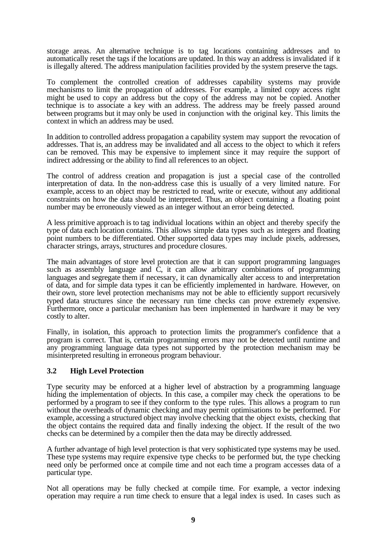storage areas. An alternative technique is to tag locations containing addresses and to automatically reset the tags if the locations are updated. In this way an address is invalidated if it is illegally altered. The address manipulation facilities provided by the system preserve the tags.

To complement the controlled creation of addresses capability systems may provide mechanisms to limit the propagation of addresses. For example, a limited copy access right might be used to copy an address but the copy of the address may not be copied. Another technique is to associate a key with an address. The address may be freely passed around between programs but it may only be used in conjunction with the original key. This limits the context in which an address may be used.

In addition to controlled address propagation a capability system may support the revocation of addresses. That is, an address may be invalidated and all access to the object to which it refers can be removed. This may be expensive to implement since it may require the support of indirect addressing or the ability to find all references to an object.

The control of address creation and propagation is just a special case of the controlled interpretation of data. In the non-address case this is usually of a very limited nature. For example, access to an object may be restricted to read, write or execute, without any additional constraints on how the data should be interpreted. Thus, an object containing a floating point number may be erroneously viewed as an integer without an error being detected.

A less primitive approach is to tag individual locations within an object and thereby specify the type of data each location contains. This allows simple data types such as integers and floating point numbers to be differentiated. Other supported data types may include pixels, addresses, character strings, arrays, structures and procedure closures.

The main advantages of store level protection are that it can support programming languages such as assembly language and  $\dot{C}$ , it can allow arbitrary combinations of programming languages and segregate them if necessary, it can dynamically alter access to and interpretation of data, and for simple data types it can be efficiently implemented in hardware. However, on their own, store level protection mechanisms may not be able to efficiently support recursively typed data structures since the necessary run time checks can prove extremely expensive. Furthermore, once a particular mechanism has been implemented in hardware it may be very costly to alter.

Finally, in isolation, this approach to protection limits the programmer's confidence that a program is correct. That is, certain programming errors may not be detected until runtime and any programming language data types not supported by the protection mechanism may be misinterpreted resulting in erroneous program behaviour.

### **3.2 High Level Protection**

Type security may be enforced at a higher level of abstraction by a programming language hiding the implementation of objects. In this case, a compiler may check the operations to be performed by a program to see if they conform to the type rules. This allows a program to run without the overheads of dynamic checking and may permit optimisations to be performed. For example, accessing a structured object may involve checking that the object exists, checking that the object contains the required data and finally indexing the object. If the result of the two checks can be determined by a compiler then the data may be directly addressed.

A further advantage of high level protection is that very sophisticated type systems may be used. These type systems may require expensive type checks to be performed but, the type checking need only be performed once at compile time and not each time a program accesses data of a particular type.

Not all operations may be fully checked at compile time. For example, a vector indexing operation may require a run time check to ensure that a legal index is used. In cases such as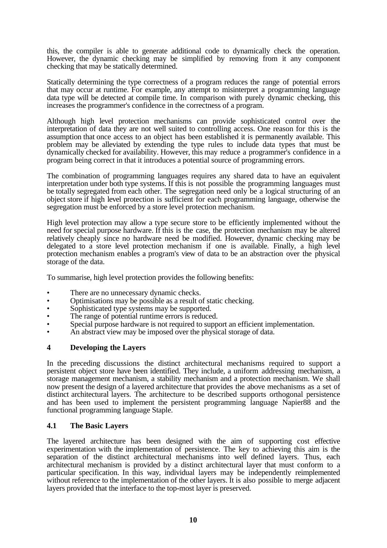this, the compiler is able to generate additional code to dynamically check the operation. However, the dynamic checking may be simplified by removing from it any component checking that may be statically determined.

Statically determining the type correctness of a program reduces the range of potential errors that may occur at runtime. For example, any attempt to misinterpret a programming language data type will be detected at compile time. In comparison with purely dynamic checking, this increases the programmer's confidence in the correctness of a program.

Although high level protection mechanisms can provide sophisticated control over the interpretation of data they are not well suited to controlling access. One reason for this is the assumption that once access to an object has been established it is permanently available. This problem may be alleviated by extending the type rules to include data types that must be dynamically checked for availability. However, this may reduce a programmer's confidence in a program being correct in that it introduces a potential source of programming errors.

The combination of programming languages requires any shared data to have an equivalent interpretation under both type systems. If this is not possible the programming languages must be totally segregated from each other. The segregation need only be a logical structuring of an object store if high level protection is sufficient for each programming language, otherwise the segregation must be enforced by a store level protection mechanism.

High level protection may allow a type secure store to be efficiently implemented without the need for special purpose hardware. If this is the case, the protection mechanism may be altered relatively cheaply since no hardware need be modified. However, dynamic checking may be delegated to a store level protection mechanism if one is available. Finally, a high level protection mechanism enables a program's view of data to be an abstraction over the physical storage of the data.

To summarise, high level protection provides the following benefits:

- There are no unnecessary dynamic checks.
- Optimisations may be possible as a result of static checking.
- Sophisticated type systems may be supported.
- The range of potential runtime errors is reduced.
- Special purpose hardware is not required to support an efficient implementation.
- An abstract view may be imposed over the physical storage of data.

### **4 Developing the Layers**

In the preceding discussions the distinct architectural mechanisms required to support a persistent object store have been identified. They include, a uniform addressing mechanism, a storage management mechanism, a stability mechanism and a protection mechanism. We shall now present the design of a layered architecture that provides the above mechanisms as a set of distinct architectural layers. The architecture to be described supports orthogonal persistence and has been used to implement the persistent programming language Napier88 and the functional programming language Staple.

### **4.1 The Basic Layers**

The layered architecture has been designed with the aim of supporting cost effective experimentation with the implementation of persistence. The key to achieving this aim is the separation of the distinct architectural mechanisms into well defined layers. Thus, each architectural mechanism is provided by a distinct architectural layer that must conform to a particular specification. In this way, individual layers may be independently reimplemented without reference to the implementation of the other layers. It is also possible to merge adjacent layers provided that the interface to the top-most layer is preserved.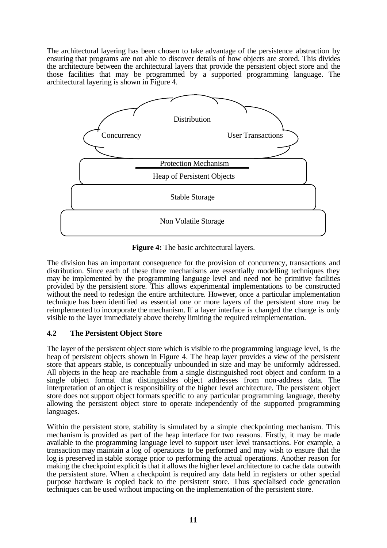The architectural layering has been chosen to take advantage of the persistence abstraction by ensuring that programs are not able to discover details of how objects are stored. This divides the architecture between the architectural layers that provide the persistent object store and the those facilities that may be programmed by a supported programming language. The architectural layering is shown in Figure 4.



**Figure 4:** The basic architectural layers.

The division has an important consequence for the provision of concurrency, transactions and distribution. Since each of these three mechanisms are essentially modelling techniques they may be implemented by the programming language level and need not be primitive facilities provided by the persistent store. This allows experimental implementations to be constructed without the need to redesign the entire architecture. However, once a particular implementation technique has been identified as essential one or more layers of the persistent store may be reimplemented to incorporate the mechanism. If a layer interface is changed the change is only visible to the layer immediately above thereby limiting the required reimplementation.

# **4.2 The Persistent Object Store**

The layer of the persistent object store which is visible to the programming language level, is the heap of persistent objects shown in Figure 4. The heap layer provides a view of the persistent store that appears stable, is conceptually unbounded in size and may be uniformly addressed. All objects in the heap are reachable from a single distinguished root object and conform to a single object format that distinguishes object addresses from non-address data. The interpretation of an object is responsibility of the higher level architecture. The persistent object store does not support object formats specific to any particular programming language, thereby allowing the persistent object store to operate independently of the supported programming languages.

Within the persistent store, stability is simulated by a simple checkpointing mechanism. This mechanism is provided as part of the heap interface for two reasons. Firstly, it may be made available to the programming language level to support user level transactions. For example, a transaction may maintain a log of operations to be performed and may wish to ensure that the log is preserved in stable storage prior to performing the actual operations. Another reason for making the checkpoint explicit is that it allows the higher level architecture to cache data outwith the persistent store. When a checkpoint is required any data held in registers or other special purpose hardware is copied back to the persistent store. Thus specialised code generation techniques can be used without impacting on the implementation of the persistent store.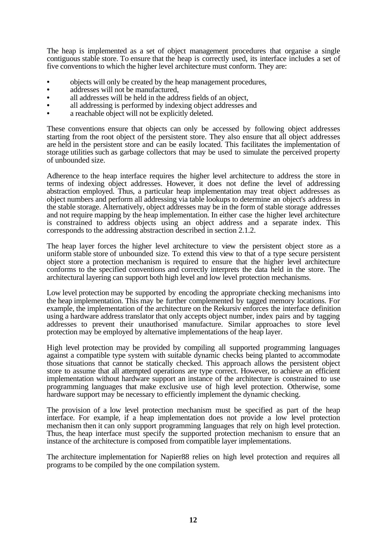The heap is implemented as a set of object management procedures that organise a single contiguous stable store. To ensure that the heap is correctly used, its interface includes a set of five conventions to which the higher level architecture must conform. They are:

- 
- 
- 
- objects will only be created by the heap management procedures,<br>addresses will not be manufactured,<br>all addresses will be held in the address fields of an object,<br>all addressing is performed by indexing object addresses an
- 

These conventions ensure that objects can only be accessed by following object addresses starting from the root object of the persistent store. They also ensure that all object addresses are held in the persistent store and can be easily located. This facilitates the implementation of storage utilities such as garbage collectors that may be used to simulate the perceived property of unbounded size.

Adherence to the heap interface requires the higher level architecture to address the store in terms of indexing object addresses. However, it does not define the level of addressing abstraction employed. Thus, a particular heap implementation may treat object addresses as object numbers and perform all addressing via table lookups to determine an object's address in the stable storage. Alternatively, object addresses may be in the form of stable storage addresses and not require mapping by the heap implementation. In either case the higher level architecture is constrained to address objects using an object address and a separate index. This corresponds to the addressing abstraction described in section 2.1.2.

The heap layer forces the higher level architecture to view the persistent object store as a uniform stable store of unbounded size. To extend this view to that of a type secure persistent object store a protection mechanism is required to ensure that the higher level architecture conforms to the specified conventions and correctly interprets the data held in the store. The architectural layering can support both high level and low level protection mechanisms.

Low level protection may be supported by encoding the appropriate checking mechanisms into the heap implementation. This may be further complemented by tagged memory locations. For example, the implementation of the architecture on the Rekursiv enforces the interface definition using a hardware address translator that only accepts object number, index pairs and by tagging addresses to prevent their unauthorised manufacture. Similar approaches to store level protection may be employed by alternative implementations of the heap layer.

High level protection may be provided by compiling all supported programming languages against a compatible type system with suitable dynamic checks being planted to accommodate those situations that cannot be statically checked. This approach allows the persistent object store to assume that all attempted operations are type correct. However, to achieve an efficient implementation without hardware support an instance of the architecture is constrained to use programming languages that make exclusive use of high level protection. Otherwise, some hardware support may be necessary to efficiently implement the dynamic checking.

The provision of a low level protection mechanism must be specified as part of the heap interface. For example, if a heap implementation does not provide a low level protection mechanism then it can only support programming languages that rely on high level protection. Thus, the heap interface must specify the supported protection mechanism to ensure that an instance of the architecture is composed from compatible layer implementations.

The architecture implementation for Napier88 relies on high level protection and requires all programs to be compiled by the one compilation system.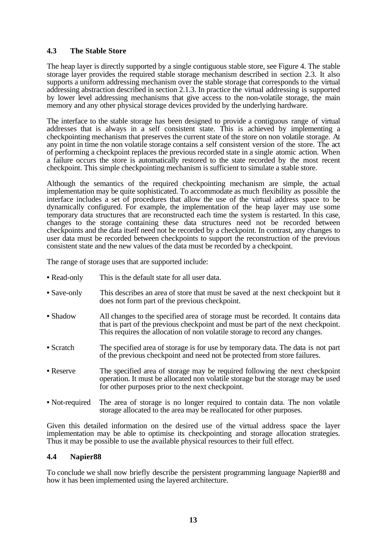## **4.3 The Stable Store**

The heap layer is directly supported by a single contiguous stable store, see Figure 4. The stable storage layer provides the required stable storage mechanism described in section 2.3. It also supports a uniform addressing mechanism over the stable storage that corresponds to the virtual addressing abstraction described in section 2.1.3. In practice the virtual addressing is supported by lower level addressing mechanisms that give access to the non-volatile storage, the main memory and any other physical storage devices provided by the underlying hardware.

The interface to the stable storage has been designed to provide a contiguous range of virtual addresses that is always in a self consistent state. This is achieved by implementing a checkpointing mechanism that preserves the current state of the store on non volatile storage. At any point in time the non volatile storage contains a self consistent version of the store. The act of performing a checkpoint replaces the previous recorded state in a single atomic action. When a failure occurs the store is automatically restored to the state recorded by the most recent checkpoint. This simple checkpointing mechanism is sufficient to simulate a stable store.

Although the semantics of the required checkpointing mechanism are simple, the actual implementation may be quite sophisticated. To accommodate as much flexibility as possible the interface includes a set of procedures that allow the use of the virtual address space to be dynamically configured. For example, the implementation of the heap layer may use some temporary data structures that are reconstructed each time the system is restarted. In this case, changes to the storage containing these data structures need not be recorded between checkpoints and the data itself need not be recorded by a checkpoint. In contrast, any changes to user data must be recorded between checkpoints to support the reconstruction of the previous consistent state and the new values of the data must be recorded by a checkpoint.

The range of storage uses that are supported include:

- Read-only This is the default state for all user data.
- Save-only This describes an area of store that must be saved at the next checkpoint but it does not form part of the previous checkpoint.
- Shadow All changes to the specified area of storage must be recorded. It contains data that is part of the previous checkpoint and must be part of the next checkpoint. This requires the allocation of non volatile storage to record any changes.
- Scratch The specified area of storage is for use by temporary data. The data is not part of the previous checkpoint and need not be protected from store failures.
- Reserve The specified area of storage may be required following the next checkpoint operation. It must be allocated non volatile storage but the storage may be used for other purposes prior to the next checkpoint.
- Not-required The area of storage is no longer required to contain data. The non volatile storage allocated to the area may be reallocated for other purposes.

Given this detailed information on the desired use of the virtual address space the layer implementation may be able to optimise its checkpointing and storage allocation strategies. Thus it may be possible to use the available physical resources to their full effect.

#### **4.4 Napier88**

To conclude we shall now briefly describe the persistent programming language Napier88 and how it has been implemented using the layered architecture.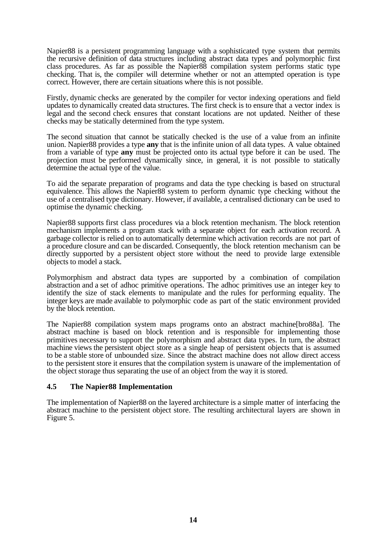Napier88 is a persistent programming language with a sophisticated type system that permits the recursive definition of data structures including abstract data types and polymorphic first class procedures. As far as possible the Napier88 compilation system performs static type checking. That is, the compiler will determine whether or not an attempted operation is type correct. However, there are certain situations where this is not possible.

Firstly, dynamic checks are generated by the compiler for vector indexing operations and field updates to dynamically created data structures. The first check is to ensure that a vector index is legal and the second check ensures that constant locations are not updated. Neither of these checks may be statically determined from the type system.

The second situation that cannot be statically checked is the use of a value from an infinite union. Napier88 provides a type **any** that is the infinite union of all data types. A value obtained from a variable of type **any** must be projected onto its actual type before it can be used. The projection must be performed dynamically since, in general, it is not possible to statically determine the actual type of the value.

To aid the separate preparation of programs and data the type checking is based on structural equivalence. This allows the Napier88 system to perform dynamic type checking without the use of a centralised type dictionary. However, if available, a centralised dictionary can be used to optimise the dynamic checking.

Napier88 supports first class procedures via a block retention mechanism. The block retention mechanism implements a program stack with a separate object for each activation record. A garbage collector is relied on to automatically determine which activation records are not part of a procedure closure and can be discarded. Consequently, the block retention mechanism can be directly supported by a persistent object store without the need to provide large extensible objects to model a stack.

Polymorphism and abstract data types are supported by a combination of compilation abstraction and a set of adhoc primitive operations. The adhoc primitives use an integer key to identify the size of stack elements to manipulate and the rules for performing equality. The integer keys are made available to polymorphic code as part of the static environment provided by the block retention.

The Napier88 compilation system maps programs onto an abstract machine[bro88a]. The abstract machine is based on block retention and is responsible for implementing those primitives necessary to support the polymorphism and abstract data types. In turn, the abstract machine views the persistent object store as a single heap of persistent objects that is assumed to be a stable store of unbounded size. Since the abstract machine does not allow direct access to the persistent store it ensures that the compilation system is unaware of the implementation of the object storage thus separating the use of an object from the way it is stored.

### **4.5 The Napier88 Implementation**

The implementation of Napier88 on the layered architecture is a simple matter of interfacing the abstract machine to the persistent object store. The resulting architectural layers are shown in Figure 5.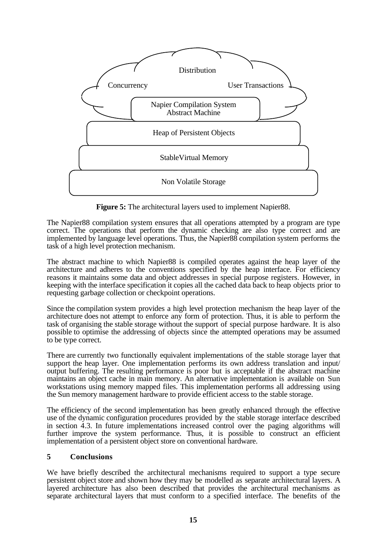

**Figure 5:** The architectural layers used to implement Napier88.

The Napier88 compilation system ensures that all operations attempted by a program are type correct. The operations that perform the dynamic checking are also type correct and are implemented by language level operations. Thus, the Napier88 compilation system performs the task of a high level protection mechanism.

The abstract machine to which Napier88 is compiled operates against the heap layer of the architecture and adheres to the conventions specified by the heap interface. For efficiency reasons it maintains some data and object addresses in special purpose registers. However, in keeping with the interface specification it copies all the cached data back to heap objects prior to requesting garbage collection or checkpoint operations.

Since the compilation system provides a high level protection mechanism the heap layer of the architecture does not attempt to enforce any form of protection. Thus, it is able to perform the task of organising the stable storage without the support of special purpose hardware. It is also possible to optimise the addressing of objects since the attempted operations may be assumed to be type correct.

There are currently two functionally equivalent implementations of the stable storage layer that support the heap layer. One implementation performs its own address translation and input/ output buffering. The resulting performance is poor but is acceptable if the abstract machine maintains an object cache in main memory. An alternative implementation is available on Sun workstations using memory mapped files. This implementation performs all addressing using the Sun memory management hardware to provide efficient access to the stable storage.

The efficiency of the second implementation has been greatly enhanced through the effective use of the dynamic configuration procedures provided by the stable storage interface described in section 4.3. In future implementations increased control over the paging algorithms will further improve the system performance. Thus, it is possible to construct an efficient implementation of a persistent object store on conventional hardware.

# **5 Conclusions**

We have briefly described the architectural mechanisms required to support a type secure persistent object store and shown how they may be modelled as separate architectural layers. A layered architecture has also been described that provides the architectural mechanisms as separate architectural layers that must conform to a specified interface. The benefits of the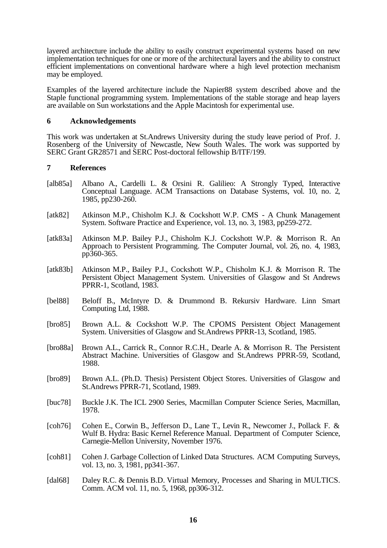layered architecture include the ability to easily construct experimental systems based on new implementation techniques for one or more of the architectural layers and the ability to construct efficient implementations on conventional hardware where a high level protection mechanism may be employed.

Examples of the layered architecture include the Napier88 system described above and the Staple functional programming system. Implementations of the stable storage and heap layers are available on Sun workstations and the Apple Macintosh for experimental use.

#### **6 Acknowledgements**

This work was undertaken at St.Andrews University during the study leave period of Prof. J. Rosenberg of the University of Newcastle, New South Wales. The work was supported by SERC Grant GR28571 and SERC Post-doctoral fellowship B/ITF/199.

#### **7 References**

- [alb85a] Albano A., Cardelli L. & Orsini R. Galilieo: A Strongly Typed, Interactive Conceptual Language. ACM Transactions on Database Systems, vol. 10, no. 2, 1985, pp230-260.
- [atk82] Atkinson M.P., Chisholm K.J. & Cockshott W.P. CMS A Chunk Management System. Software Practice and Experience, vol. 13, no. 3, 1983, pp259-272.
- [atk83a] Atkinson M.P. Bailey P.J., Chisholm K.J. Cockshott W.P. & Morrison R. An Approach to Persistent Programming. The Computer Journal, vol. 26, no. 4, 1983, pp360-365.
- [atk83b] Atkinson M.P., Bailey P.J., Cockshott W.P., Chisholm K.J. & Morrison R. The Persistent Object Management System. Universities of Glasgow and St Andrews PPRR-1, Scotland, 1983.
- [bel88] Beloff B., McIntyre D. & Drummond B. Rekursiv Hardware. Linn Smart Computing Ltd, 1988.
- [bro85] Brown A.L. & Cockshott W.P. The CPOMS Persistent Object Management System. Universities of Glasgow and St.Andrews PPRR-13, Scotland, 1985.
- [bro88a] Brown A.L., Carrick R., Connor R.C.H., Dearle A. & Morrison R. The Persistent Abstract Machine. Universities of Glasgow and St.Andrews PPRR-59, Scotland, 1988.
- [bro89] Brown A.L. (Ph.D. Thesis) Persistent Object Stores. Universities of Glasgow and St.Andrews PPRR-71, Scotland, 1989.
- [buc78] Buckle J.K. The ICL 2900 Series, Macmillan Computer Science Series, Macmillan, 1978.
- [coh76] Cohen E., Corwin B., Jefferson D., Lane T., Levin R., Newcomer J., Pollack F. & Wulf B. Hydra: Basic Kernel Reference Manual. Department of Computer Science, Carnegie-Mellon University, November 1976.
- [coh81] Cohen J. Garbage Collection of Linked Data Structures. ACM Computing Surveys, vol. 13, no. 3, 1981, pp341-367.
- [dal68] Daley R.C. & Dennis B.D. Virtual Memory, Processes and Sharing in MULTICS. Comm. ACM vol. 11, no. 5, 1968, pp306-312.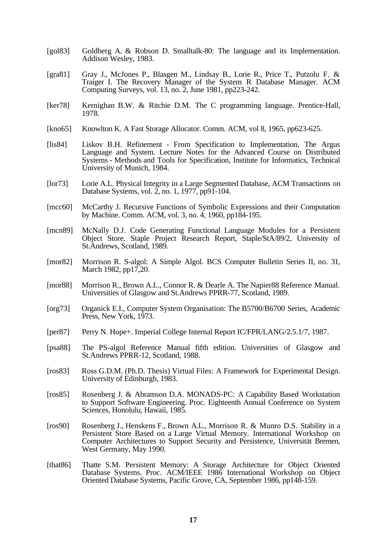- [gol83] Goldberg A. & Robson D. Smalltalk-80: The language and its Implementation. Addison Wesley, 1983.
- [gra81] Gray J., McJones P., Blasgen M., Lindsay B., Lorie R., Price T., Putzolu F. & Traiger I. The Recovery Manager of the System R Database Manager. ACM Computing Surveys, vol. 13, no. 2, June 1981, pp223-242.
- [ker78] Kernighan B.W. & Ritchie D.M. The C programming language. Prentice-Hall, 1978.
- [kno65] Knowlton K. A Fast Storage Allocator. Comm. ACM, vol 8, 1965, pp623-625.
- [lis84] Liskov B.H. Refinement From Specification to Implementation, The Argus Language and System. Lecture Notes for the Advanced Course on Distributed Systems - Methods and Tools for Specification, Institute for Informatics, Technical University of Munich, 1984.
- [lor73] Lorie A.L. Physical Integrity in a Large Segmented Database, ACM Transactions on Database Systems, vol. 2, no. 1, 1977, pp91-104.
- [mcc60] McCarthy J. Recursive Functions of Symbolic Expressions and their Computation by Machine. Comm. ACM, vol. 3, no. 4, 1960, pp184-195.
- [mcn89] McNally D.J. Code Generating Functional Language Modules for a Persistent Object Store. Staple Project Research Report, Staple/StA/89/2, University of St.Andrews, Scotland, 1989.
- [mor82] Morrison R. S-algol: A Simple Algol. BCS Computer Bulletin Series II, no. 31, March 1982, pp17,20.
- [mor88] Morrison R., Brown A.L., Connor R. & Dearle A. The Napier 88 Reference Manual. Universities of Glasgow and St.Andrews PPRR-77, Scotland, 1989.
- [org73] Organick E.I., Computer System Organisation: The B5700/B6700 Series, Academic Press, New York, 1973.
- [per87] Perry N. Hope+. Imperial College Internal Report IC/FPR/LANG/2.5.1/7, 1987.
- [psa88] The PS-algol Reference Manual fifth edition. Universities of Glasgow and St.Andrews PPRR-12, Scotland, 1988.
- [ros83] Ross G.D.M. (Ph.D. Thesis) Virtual Files: A Framework for Experimental Design. University of Edinburgh, 1983.
- [ros85] Rosenberg J. & Abramson D.A. MONADS-PC: A Capability Based Workstation to Support Software Engineering. Proc. Eighteenth Annual Conference on System Sciences, Honolulu, Hawaii, 1985.
- [ros90] Rosenberg J., Henskens F., Brown A.L., Morrison R. & Munro D.S. Stability in a Persistent Store Based on a Large Virtual Memory. International Workshop on Computer Architectures to Support Security and Persistence, Universität Bremen, West Germany, May 1990.
- [that86] Thatte S.M. Persistent Memory: A Storage Architecture for Object Oriented Database Systems. Proc. ACM/IEEE 1986 International Workshop on Object Oriented Database Systems, Pacific Grove, CA, September 1986, pp148-159.